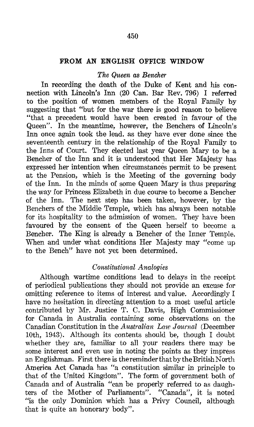#### 450

## FROM AN ENGLISH OFFICE WINDOW

#### The Queen as Bencher

In recording the death of the Duke of Kent and his connection with Lincoln's Inn (20 Can. Bar Rev. 796) I referred to the position of women members of the Royal Family by suggesting that "but for the war there is good reason to believe "that a precedent would have been created in favour of the Queen". In the meantime, however, the Benchers of Lincoln's Inn once again took the lead, as they have ever done since the seventeenth century in the relationship of the Royal Family to the Inns of Court. They elected last year Queen Mary to be a Bencher of the Inn and it is understood that Her Majesty has expressed her intention when circumstances permit to be present at the Pension, which is the Meeting of the governing body of the Inn. In the minds of some Queen Mary is thus preparing the way for Princess Elizabeth in due course to become a Bencher of the Inn. The next step has been taken, however, by the Benchers of the Middle Temple, which has always been notable for its hospitality to the admission of women. They have been favoured by the consent of the Queen herself to become a Bencher. The King is already a Bencher of the Inner Temple. When and under what conditions Her Majesty may "come up to the Bench" have not yet been determined.

## Constitutional Analogies

Although wartime conditions lead to delays in the receipt of periodical publications they should not provide an excuse for omitting reference to items of interest and value. Accordingly I have no hesitation in directing attention to a most useful article contributed by Mr. Justice T. C. Davis, High Commissioner for Canada in Australia containing some observations on the Canadian Constitution in the Australian Law Journal (December 10th, 1943). Although its contents should be, though I doubt whether they are, familiar to all your readers there may be some interest and even use in noting the points as they impress an Englishman. First there is the reminder that by the British North America Act Canada has "a constitution similar in principle to that of the United Kingdom". The form of government both of Canada and of Australia "can be properly referred to as daughters of the Mother of Parliaments". "Canada", it is noted "is the only Dominion which has a Privy Council, although that is quite an honorary body".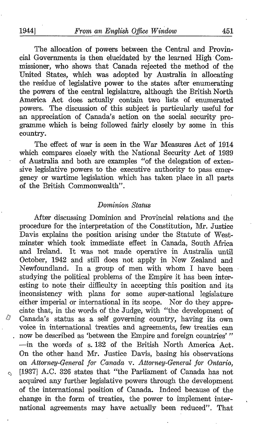Ŋ

Ó

The allocation of powers between the Central and Provincial Governments is then elucidated by the learned High Commissioner, who shows that Canada rejected the method of the United States, which was adopted by Australia in allocating the residue of legislative power to the states after enumerating the powers of the central legislature, although the British North America Act does actually contain two lists of enumerated powers. The discussion of this subject is particularly useful for an appreciation of Canada's action on the social security programme which is being followed fairly closely by some in this country.

The effect of war is seen in the War Measures Act of 1914 which compares closely with the National Security Act of 1939 of Australia and both are examples "of the delegation of exten sive legislative powers to the executive authority to pass emergency or wartime legislation which has taken place in all parts of the British Commonwealth".

# Dominion Status

After discussing Dominion and Provincial relations and the procedure for the interpretation of the Constitution, Mr. Justice Davis explains the position arising under the Statute of West minster which took immediate effect in Canada, South Africa and Ireland. It was not made operative in Australia until October, 1942 and still does not apply in New Zealand and Newfoundland. In a group of men with whom <sup>I</sup> have been studying the political problems of the Empire it has been interesting to note their difficulty in accepting this position and its inconsistency with plans for some super-national legislature either imperial or international in its scope. Nor do they appreciate that, in the words of the Judge, with "the development of Canada's status as a self governing country, having its own voice in international treaties and agreements, few treaties can now be described as 'between the Empire and foreign countries'" -in the words of s. 132 of the British North America Act. On the other hand Mr. Justice Davis, basing his observations on Attorney-General for Canada v. Attorney-General for Ontario, [1937] A.C. <sup>326</sup> states that "the Parliament of Canada has not acquired any further legislative powers through the development of the international position of Canada. Indeed because of the change in the form of treaties, the power to implement international agreements may have actually been reduced". That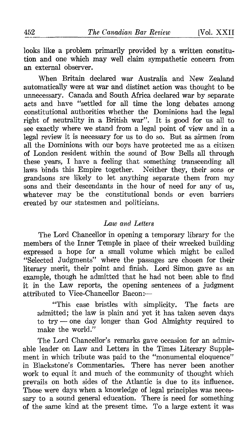looks like a problem primarily provided by a written constitution and one which may well claim sympathetic concern from an external observer.

When Britain declared war Australia and New Zealand automatically were at war and distinct action was thought to be unnecessary. Canada and South Africa declared war by separate acts and have "settled for all time the long debates among constitutional authorities whether the Dominions had the legal right of neutrality in a British war". It is good for us all to see exactly where we stand from a legal point of view and in a legal review it is necessary for us to do so. But as airmen from all the Dominions with our boys have protected me as a citizen of London resident within the sound of Bow Bells all through these years, <sup>I</sup> have a feeling that something transcending all laws binds this Empire together. Neither they, their sons or grandsons are likely to let anything separate them from my sons and their descendants in the hour of need for any of us, whatever may be the constitutional bonds or even barriers created by our statesmen and politicians.

## Law and Letters

The Lord Chancellor in opening a temporary library for the members of the Inner Temple in place of their wrecked building expressed a hope for a small volume which might be called "Selected Judgments" where the passages are chosen for their literary merit, their point and finish. Lord Simon gave as an example, though he admitted that he had not been able to find it in the Law reports, the opening sentences of a judgment attributed to Vice-Chancellor Bacon:-

"This case bristles with simplicity. The facts are admitted; the law is plain and yet it has taken seven days to  $try$  -one day longer than God Almighty required to make the world."

The Lord Chancellor's remarks gave occasion for an admirable leader on Law and Letters in the Times Literary Supplement in which tribute was paid to the "monumental eloquence" in Blackstone's Commentaries. There has never been another work to equal it and much of the community of thought which prevails on both sides of the Atlantic is due to its influence. Those were days when a knowledge of legal principles was necessary to a sound general education. There is need for something of the same kind at the present time. To a large extent it was